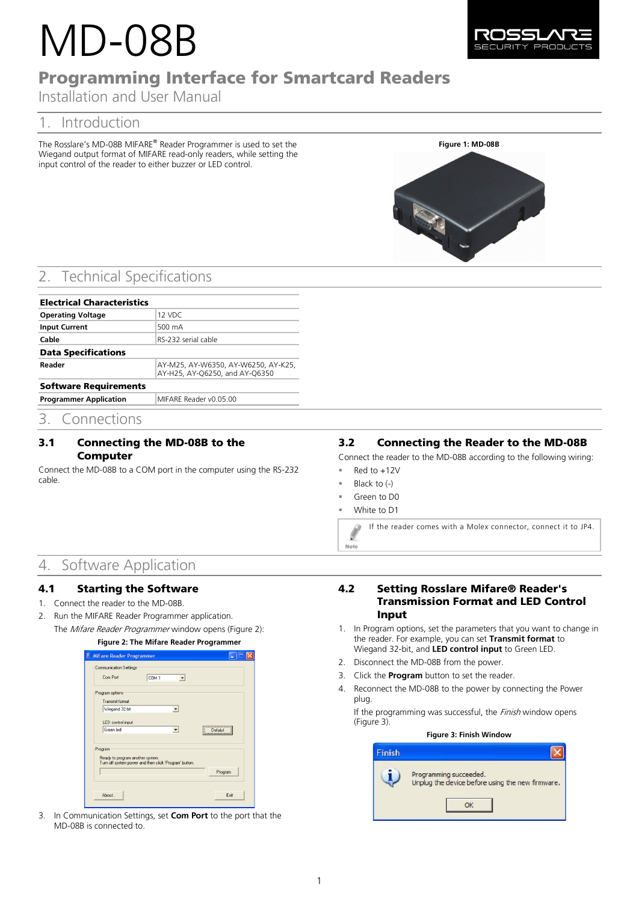# MD-08B



## Programming Interface for Smartcard Readers

Installation and User Manual

## 1. Introduction

The Rosslare's MD-08B MIFARE® Reader Programmer is used to set the Wiegand output format of MIFARE read-only readers, while setting the input control of the reader to either buzzer or LED control.



## **Technical Specifications**

| <b>Electrical Characteristics</b> |                                                                       |  |  |
|-----------------------------------|-----------------------------------------------------------------------|--|--|
| <b>Operating Voltage</b>          | 12 VDC                                                                |  |  |
| <b>Input Current</b>              | 500 mA                                                                |  |  |
| Cable                             | RS-232 serial cable                                                   |  |  |
| <b>Data Specifications</b>        |                                                                       |  |  |
| Reader                            | AY-M25, AY-W6350, AY-W6250, AY-K25,<br>AY-H25, AY-Q6250, and AY-Q6350 |  |  |
| <b>Software Requirements</b>      |                                                                       |  |  |
| <b>Programmer Application</b>     | MIFARE Reader v0.05.00                                                |  |  |

### 3. Connections

#### 3.1 Connecting the MD-08B to the Computer

Connect the MD-08B to a COM port in the computer using the RS-232 cable.

#### 3.2 Connecting the Reader to the MD-08B

Connect the reader to the MD-08B according to the following wiring:

- Red to +12V
- Black to (-)
- Green to D0
- White to D1

Note

If the reader comes with a Molex connector, connect it to JP4.

## 4. Software Application

#### 4.1 Starting the Software

- 1. Connect the reader to the MD-08B.
- <span id="page-0-0"></span>2. Run the MIFARE Reader Programmer application.
	- The *Mifare Reader Programmer* window opens [\(Figure 2\)](#page-0-0):

#### **Figure 2: The Mifare Reader Programmer**

| Com Port                                               | <b>Communication Settings</b><br>COM <sub>1</sub> |         |
|--------------------------------------------------------|---------------------------------------------------|---------|
|                                                        |                                                   |         |
| Program options                                        |                                                   |         |
| Transmit format                                        |                                                   |         |
| Wiegand 32-bit                                         |                                                   |         |
|                                                        |                                                   |         |
| LED control input                                      |                                                   |         |
| Green led                                              |                                                   | Defalut |
|                                                        |                                                   |         |
| Program                                                |                                                   |         |
| Ready to program another system.                       |                                                   |         |
| Turn off system power and then click 'Program' button. |                                                   |         |
|                                                        |                                                   | Program |
|                                                        |                                                   |         |

3. In Communication Settings, set **Com Port** to the port that the MD-08B is connected to.

#### 4.2 Setting Rosslare Mifare® Reader's Transmission Format and LED Control Input

- 1. In Program options, set the parameters that you want to change in the reader. For example, you can set **Transmit format** to Wiegand 32-bit, and **LED control input** to Green LED.
- 2. Disconnect the MD-08B from the power.
- 3. Click the **Program** button to set the reader.
- 4. Reconnect the MD-08B to the power by connecting the Power plug.

<span id="page-0-1"></span>If the programming was successful, the Finish window opens [\(Figure 3\)](#page-0-1).

| inish |                                                                            |
|-------|----------------------------------------------------------------------------|
|       | Programming succeeded.<br>Unplug the device before using the new firmware. |